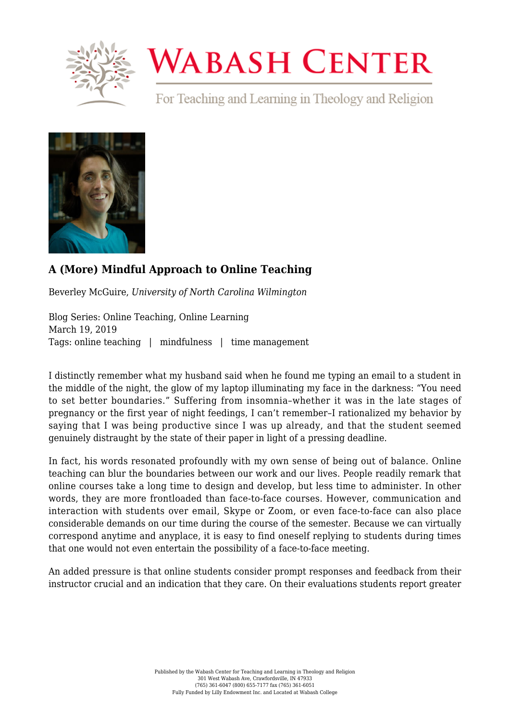

## **WABASH CENTER**

For Teaching and Learning in Theology and Religion



## **[A \(More\) Mindful Approach to Online Teaching](https://www.wabashcenter.wabash.edu/2019/03/a-more-mindful-approach-to-online-teaching-2/)**

Beverley McGuire, *University of North Carolina Wilmington*

Blog Series: Online Teaching, Online Learning March 19, 2019 Tags: online teaching | mindfulness | time management

I distinctly remember what my husband said when he found me typing an email to a student in the middle of the night, the glow of my laptop illuminating my face in the darkness: "You need to set better boundaries." Suffering from insomnia–whether it was in the late stages of pregnancy or the first year of night feedings, I can't remember–I rationalized my behavior by saying that I was being productive since I was up already, and that the student seemed genuinely distraught by the state of their paper in light of a pressing deadline.

In fact, his words resonated profoundly with my own sense of being out of balance. Online teaching can blur the boundaries between our work and our lives. People readily remark that online courses take a long time to design and develop, but less time to administer. In other words, they are more frontloaded than face-to-face courses. However, communication and interaction with students over email, Skype or Zoom, or even face-to-face can also place considerable demands on our time during the course of the semester. Because we can virtually correspond anytime and anyplace, it is easy to find oneself replying to students during times that one would not even entertain the possibility of a face-to-face meeting.

An added pressure is that online students consider prompt responses and feedback from their instructor crucial and an indication that they care. On their evaluations students report greater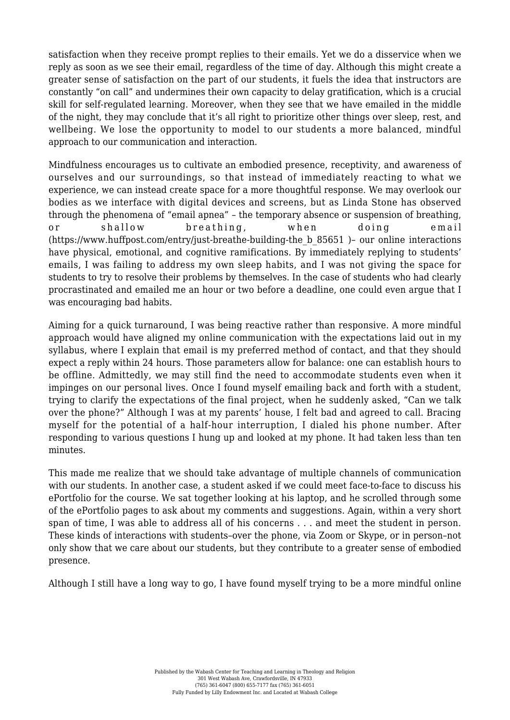satisfaction when they receive prompt replies to their emails. Yet we do a disservice when we reply as soon as we see their email, regardless of the time of day. Although this might create a greater sense of satisfaction on the part of our students, it fuels the idea that instructors are constantly "on call" and undermines their own capacity to delay gratification, which is a crucial skill for self-regulated learning. Moreover, when they see that we have emailed in the middle of the night, they may conclude that it's all right to prioritize other things over sleep, rest, and wellbeing. We lose the opportunity to model to our students a more balanced, mindful approach to our communication and interaction.

Mindfulness encourages us to cultivate an embodied presence, receptivity, and awareness of ourselves and our surroundings, so that instead of immediately reacting to what we experience, we can instead create space for a more thoughtful response. We may overlook our bodies as we interface with digital devices and screens, but as Linda Stone has observed through the phenomena of "email apnea" – the temporary absence or suspension of breathing, or shallow breathing, when doing email ([https://www.huffpost.com/entry/just-breathe-building-the\\_b\\_85651](https://www.huffpost.com/entry/just-breathe-building-the_b_85651) )– our online interactions have physical, emotional, and cognitive ramifications. By immediately replying to students' emails, I was failing to address my own sleep habits, and I was not giving the space for students to try to resolve their problems by themselves. In the case of students who had clearly procrastinated and emailed me an hour or two before a deadline, one could even argue that I was encouraging bad habits.

Aiming for a quick turnaround, I was being reactive rather than responsive. A more mindful approach would have aligned my online communication with the expectations laid out in my syllabus, where I explain that email is my preferred method of contact, and that they should expect a reply within 24 hours. Those parameters allow for balance: one can establish hours to be offline. Admittedly, we may still find the need to accommodate students even when it impinges on our personal lives. Once I found myself emailing back and forth with a student, trying to clarify the expectations of the final project, when he suddenly asked, "Can we talk over the phone?" Although I was at my parents' house, I felt bad and agreed to call. Bracing myself for the potential of a half-hour interruption, I dialed his phone number. After responding to various questions I hung up and looked at my phone. It had taken less than ten minutes.

This made me realize that we should take advantage of multiple channels of communication with our students. In another case, a student asked if we could meet face-to-face to discuss his ePortfolio for the course. We sat together looking at his laptop, and he scrolled through some of the ePortfolio pages to ask about my comments and suggestions. Again, within a very short span of time, I was able to address all of his concerns . . . and meet the student in person. These kinds of interactions with students–over the phone, via Zoom or Skype, or in person–not only show that we care about our students, but they contribute to a greater sense of embodied presence.

Although I still have a long way to go, I have found myself trying to be a more mindful online